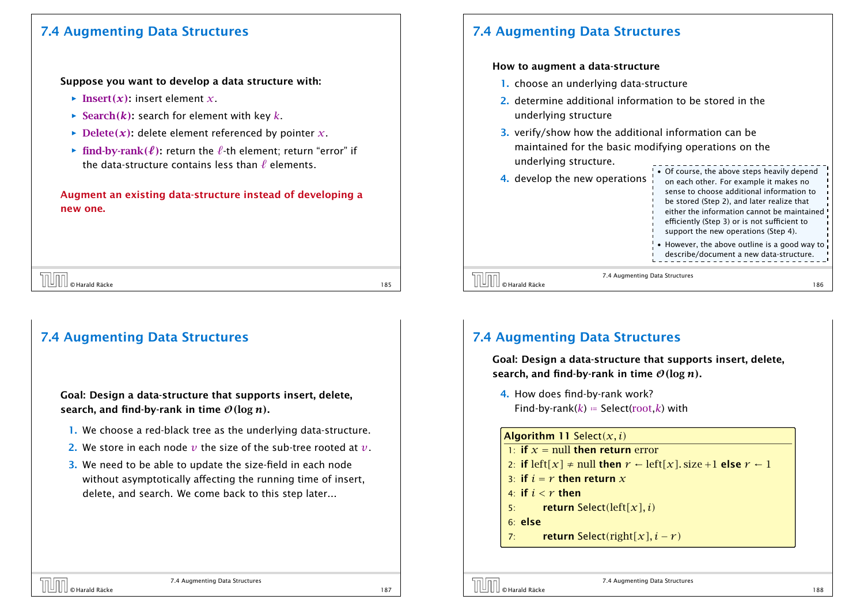## 7.4 Augmenting Data Structures

### Suppose you want to develop a data structure with:

- $\blacktriangleright$  Insert $(x)$ : insert element *x*.
- $\rightarrow$  Search(*k*): search for element with key *k*.
- $\rightarrow$  Delete(x): delete element referenced by pointer *x*.
- $\triangleright$  **find-by-rank** $(\ell)$ **:** return the  $\ell$ -th element; return "error" if the data-structure contains less than  $\ell$  elements.

Augment an existing data-structure instead of developing a new one.

|  | $\left[\bigsqcup \right] \right]_{\circ}$ O Harald Räcke |      |
|--|----------------------------------------------------------|------|
|  |                                                          | l 85 |

# 7.4 Augmenting Data Structures

Goal: Design a data-structure that supports insert, delete, search, and find-by-rank in time  $O(\log n)$ .

- 1. We choose a red-black tree as the underlying data-structure.
- 2. We store in each node *v* the size of the sub-tree rooted at *v*.
- 3. We need to be able to update the size-field in each node without asymptotically affecting the running time of insert, delete, and search. We come back to this step later...

# 7.4 Augmenting Data Structures

## How to augment a data-structure

- 1. choose an underlying data-structure
- 2. determine additional information to be stored in the underlying structure
- 3. verify/show how the additional information can be maintained for the basic modifying operations on the underlying structure.

|                                                    | ! • Of course, the above s |
|----------------------------------------------------|----------------------------|
| <b>4.</b> develop the new operations $\frac{1}{2}$ | on each other. For exa     |

|        | • Of course, the above steps heavily depend   |
|--------|-----------------------------------------------|
| ıtions | on each other. For example it makes no        |
|        | sense to choose additional information to     |
|        | be stored (Step 2), and later realize that    |
|        | either the information cannot be maintained   |
|        | efficiently (Step 3) or is not sufficient to  |
|        | support the new operations (Step 4).          |
|        | • However, the above outline is a good way to |
|        | describe/document a new data-structure.       |

7.4 Augmenting Data Structures  $\overline{\text{[}}\text{[]}\text{[]}}$   $\text{[}$   $\text{[]}\text{[]}\text{[]}}$   $\text{[}$   $\text{[]}\text{[]}\text{[]}}$   $\text{[]}\text{[]}\text{[]}\text{[]}\text{[]}}$   $\text{[]}\text{[]}\text{[]}\text{[]}\text{[]}}$   $\text{[]}\text{[]}\text{[]}\text{[]}\text{[]}}$   $\text{[]}\text{[]}\text{[]}\text{[]}\text{[]}}$   $\text{[]}\text{[]}\text{[]}\text{[]}\text{[]}}$ 

# 7.4 Augmenting Data Structures

Goal: Design a data-structure that supports insert, delete, search, and find-by-rank in time O*(*log *n)*.

4. How does find-by-rank work? Find-by-rank( $k$ ) = Select(root, $k$ ) with

#### Algorithm 11 Select*(x, i)*

- 1: if  $x =$  null then return error 2: if  $\text{left}[x] \neq \text{null}$  then  $r \leftarrow \text{left}[x]$ . size +1 else  $r \leftarrow 1$ 3: if  $i = r$  then return  $x$ 4: if  $i < r$  then
- 5: return Select*(*left*[x], i)*
- 6: else
- 7: return Select*(*right*[x], i* − *r )*